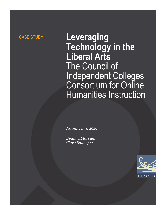# CASE STUDY **Leveraging Technology in the Liberal Arts** The Council of Independent Colleges Consortium for Online Humanities Instruction

*November 4, 2015*

*Deanna Marcum Clara Samayoa*

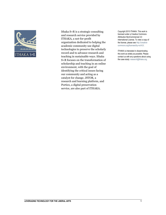

Ithaka S+R is a strategic consulting and research service provided by ITHAKA, a not-for-profit organization dedicated to helping the academic community use digital technologies to preserve the scholarly record and to advance research and teaching in sustainable ways. Ithaka S+R focuses on the transformation of scholarship and teaching in an online environment, with the goal of identifying the critical issues facing our community and acting as a catalyst for change. JSTOR, a research and learning platform, and Portico, a digital preservation service, are also part of ITHAKA.

Copyright 2015 ITHAKA. This work is licensed under a Creative Commons Attribution-NonCommercial 4.0 International License. To view a copy of the license, please see http://creativecommons.org/licenses/by-nc/4.0/.

ITHAKA is interested in disseminating this work as widely as possible. Please contact us with any questions about using the case study: research@ithaka.org.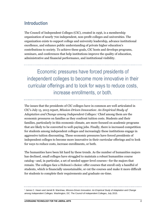### **Introduction**

The Council of Independent Colleges (CIC), created in 1956, is a membership organization of nearly 700 independent, non-profit colleges and universities. The organization exists to support college and university leadership, advance institutional excellence, and enhance public understanding of private higher education's contributions to society. To achieve these goals, CIC hosts and develops programs, seminars, and conferences that help institutions improve the quality of education, administrative and financial performance, and institutional visibility.

Economic pressures have forced presidents of independent colleges to become more innovative in their curricular offerings and to look for ways to reduce costs, increase enrollments, or both.

The issues that the presidents of CIC colleges have in common are well articulated in CIC's July 15, 2015 report, *Mission-Driven Innovation: An Empirical Study of Adaptation and Change among Independent Colleges*. <sup>1</sup> Chief among them are the economic pressures on families as they confront tuition costs. Students and their families, particularly in this economic climate, are more focused on academic programs that are likely to be converted to well-paying jobs. Finally, there is increased competition for students among independent colleges and increasingly these institutions engage in aggressive tuition discounting. These economic pressures have forced presidents of independent colleges to become more innovative in their curricular offerings and to look for ways to reduce costs, increase enrollments, or both.

The humanities have been hit hard by these trends. As the number of humanities majors has declined, small colleges have struggled to maintain a robust humanities course catalog—and, in particular, a set of needed upper-level courses—for the majors that remain. The colleges face a Hobson's choice: offer courses that enroll only a handful of students, which is financially unsustainable, or cut the courses and make it more difficult for students to complete their requirements and graduate on-time.

<sup>1</sup> James C. Hearn and Jarrett B. Warshaw, *Mission-Driven Innovation: An Empirical Study of Adaptation and Change among Independent Colleges.* Washington, DC: The Council of Independent Colleges, July 2015.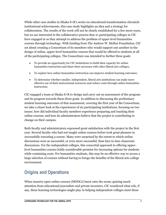While other case studies in Ithaka  $S + R$ 's series on educational transformation chronicle institutional achievements, this case study highlights an idea and a strategy for collaboration. The results of the work will not be clearly established for a few more years, but we are interested in the collaborative process that 21 participating colleges in CIC have engaged in as they attempt to address the problem of upper-level humanities courses through technology. With funding from The Andrew W. Mellon Foundation, CIC set about creating a Consortium of its members who would support one another in the design of online, upper-level humanities courses that would be offered to students at all of the participating colleges. The Consortium was intended to further three goals:

- To provide an opportunity for CIC institutions to build their capacity for online humanities instruction and share their successes with other liberal arts colleges;
- To explore how online humanities instruction can improve student learning outcomes;
- To determine whether smaller, independent, liberal arts institutions can make more effective use of their instructional resources and reduce costs through online humanities instruction.

CIC engaged a team at Ithaka S+R to design and carry out an assessment of the program and its progress towards these three goals. In addition to discussing the preliminary student learning outcomes of that assessment, covering the first year of the Consortium, we take a closer look at the experiences of six participating institutions, focusing on two issues: how did individual faculty members experience preparing and teaching their online courses; and how do administrators believe that the project is contributing to change on their campus.

Both faculty and administrators expressed great satisfaction with the project in the first year. Several faculty who had not taught online courses before took great pleasure in successfully executing a course. Many were surprised by the extent to which online discussions were as successful, or even more successful, than face-to-face classroom discussions. For the independent colleges, this consortial approach to offering upperlevel humanities courses holds considerable promise for increasing options for students while containing costs. For humanities students, this may be an effective way to access a large selection of courses without having to forego the benefits of the liberal arts college environment.

### **Origins and Operations**

When massive open online courses (MOOCs) burst onto the scene, gaining much attention from educational journalists and private investors, CIC wondered what role, if any, these learning technologies might play in helping independent colleges meet these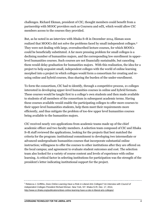challenges. Richard Ekman, president of CIC, thought members could benefit from a partnership with MOOC providers such as Coursera and edX, which would allow CIC members access to the courses they provided.

But, as he noted in an interview with Ithaka S+R in December 2014, Ekman soon realized that MOOCs did not solve the problems faced by small independent colleges.<sup>2</sup> They were not dealing with large, oversubscribed lecture courses, for which MOOCs could be beneficially substituted. A far more pressing problem for small colleges is a declining number of humanities majors, and the corresponding low enrollment in upperlevel humanities courses. Such courses are not financially sustainable, but canceling them would delay graduation for humanities majors. With this realization, the idea for a project to help acquaint small, independent colleges with the world of online learning morphed into a project in which colleges would form a consortium for creating and reusing online and hybrid courses, thus sharing the burden of the under-enrollment.

To form the consortium, CIC had to identify, through a competitive process, 21 colleges interested in developing upper-level humanities courses in online and hybrid formats. These courses would be taught first to a college's own students and then made available to students of all members of the consortium in subsequent academic terms. Having these courses available would enable the participating colleges to offer more courses to their upper-level humanities students, help them meet their requirements more efficiently, and thus mitigate the problem of too-few upper level humanities courses being available to the humanities majors.

CIC received nearly 100 applications from academic teams made up of the chief academic officer and two faculty members. A selection team composed of CIC and Ithaka S+R staff reviewed the applications, looking for the projects that best matched the criteria for the program: institutional commitment to developing two intermediate or advanced undergraduate humanities courses that incorporate substantial online instruction; willingness to offer the courses to other institutions after they are offered on the local campus; and agreement to evaluate student outcomes and cost. The selection team also looked for a variety of course content and levels of experience with online learning. A critical factor in selecting institutions for participation was the strength of the president's letter indicating institutional support for the project.

<sup>2</sup> Rebecca J. Griffiths, *Does Online Learning Have a Role in Liberal Arts Colleges? An Interview with Council of Independent Colleges President Richard Ekman*. New York, NY: Ithaka S+R, Dec. 17, 2014, [http://www.sr.ithaka.org/publications/does-online-learning-have-a-role-in-liberal-arts-colleges/.](http://www.sr.ithaka.org/publications/does-online-learning-have-a-role-in-liberal-arts-colleges/)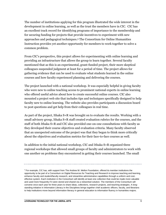The number of institutions applying for this program illustrated the wide interest in the development in online learning, as well as the trust the members have in CIC. CIC has an excellent track record for identifying programs of importance to the membership and for securing funding for projects that provide incentives to experiment with new approaches and pedagogical techniques. <sup>3</sup> The Consortium for Online Humanities Instruction provides yet another opportunity for members to work together to solve a common problem.

From CIC's perspective, this project allows for experimenting with online learning and providing an infrastructure that allows the group to learn together. Several faculty mentioned that as this is an experimental, grant-funded project, their more skeptical colleagues suspended judgment at least for a period of time. The project allows for gathering evidence that can be used to evaluate what students learned in the online courses and how faculty experienced planning and delivering the courses.

The project launched with a national workshop. It was especially helpful in giving faculty who were new to online teaching access to prominent national experts in online learning who offered useful advice about how to create successful online courses. CIC also mounted a project web site that includes tips and techniques specifically designed to help faculty new to online learning. The website also provides participants a discussion board to post questions and get help from their colleagues in real time.

As part of the project, Ithaka S+R was brought on to evaluate the results. Working with a small advisory group, Ithaka S+R staff created evaluation rubrics for the courses, and the staff of both Ithaka S+R and CIC also provided one-on-one consultations with faculty as they developed their course objectives and evaluation criteria. Many faculty observed that an unexpected outcome of the project was that they began to think more critically about the objectives and evaluation metrics for their face-to-face courses as well.

In addition to the initial national workshop, CIC and Ithaka S+R organized three regional workshops that allowed small groups of faculty and administrators to work with one another on problems they encountered in getting their courses launched. The small

<sup>&</sup>lt;sup>3</sup> For example, CIC has, with support from The Andrew W. Mellon Foundation, offered its member institutions the opportunity to be part of a Consortium on Digital Resources for Teaching and Research to improve teaching and learning, enhance faculty and student/faculty research, and streamline administrative capabilities through a uniform and costeffective system. Each institution in the Consortium will identify at least one collection that could be made more valuable and used more frequently if it were stored and shared via a networked solution. The members of the Consortium will convene once each year for three years to share ideas, collections, research projects, and teaching strategies. A longstanding initiative in Information Literacy in the Disciplines brings together chief academic officers, faculty, and librarians to help institutions move beyond information literacy in general education to information fluency in humanities majors.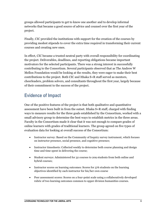groups allowed participants to get to know one another and to develop informal networks that became a good source of advice and counsel over the first year of the project.

Finally, CIC provided the institutions with support for the creation of the courses by providing modest stipends to cover the extra time required in transforming their current courses and creating new ones.

In effect, CIC became a trusted neutral party with overall responsibility for coordinating the project. Deliverables, deadlines, and reporting obligations became important motivators for the selected participants. There was a strong interest in successfully contributing to the Consortium. Several participants observed that as The Andrew W Mellon Foundation would be looking at the results, they were eager to make their best contributions to the project. Both CIC and Ithaka S+R staff served as mentors, cheerleaders, problem solvers, and consultants throughout the first year, largely because of their commitment to the success of the project.

### **Evidence of Impact**

One of the positive features of the project is that both qualitative and quantitative assessment have been built in from the outset. Ithaka S+R staff, charged with finding ways to measure results for the three goals established by the Consortium, worked with a small advisory group to determine the best ways to establish metrics in the three areas. Faculty in the Consortium made it clear that it was not enough to compare grades of online learners with grades of traditional learners. The group agreed on five types of evaluation data for looking at overall success of the Consortium:

- Instructor survey: Based on the Community of Inquiry survey instrument, which focuses on instructor presence, social presence, and cognitive presence;
- Instructor timesheets: Collected weekly to determine both course planning and design time and time spent in delivering the course;
- Student surveys: Administered for 32 courses to 209 students from both online and hybrid courses;
- Instructor scores on learning outcomes: Scores for 376 students on the learning objectives identified by each instructor for his/her own course
- Peer assessment scores: Scores on a four-point scale using a collaboratively developed rubric of two learning outcomes common to upper division humanities courses.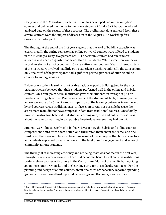One year into the Consortium, each institution has developed two online or hybrid courses and delivered them once to their own students.<sup>4</sup> Ithaka S+R has gathered and analyzed data on the results of these courses. The preliminary data gathered from these several sources were the subject of discussion at the August 2015 workshop for all Consortium participants.

The findings at the end of the first year suggest that the goal of building capacity was clearly met. In the spring semester, 41 online or hybrid courses were offered to students in the 21 colleges. Sixty-five percent of CIC Consortium courses had ten or fewer students, and nearly a quarter had fewer than six students. While some were online or hybrid versions of existing courses, 16 were entirely new courses. Nearly three-quarters of the instructors involved had little or no experience teaching online. In the Consortium, only one-third of the participants had significant prior experience of offering online courses to undergraduates.

Evidence of student learning is not as dramatic as capacity building, but for the most part, instructors believed that their students performed well in the online and hybrid courses. On a four-point scale, instructors gave their students an average of 3.17 on meeting learning objectives. Peer assessments of the student artifacts, however, earned an average score of 2.61. A rigorous comparison of the learning outcomes in online and hybrid courses versus traditional face-to-face courses was not possible because the assessment team did not have comparable data from traditional courses. Anecdotally, however, instructors believed that student learning in hybrid and online courses was about the same as learning in comparable face-to-face courses they had taught.

Students were almost evenly split in their views of how the hybrid and online courses compare: one-third rated them better, one-third rated them about the same, and onethird rated them worse. The most troubling result of the surveys is that both instructors and students expressed dissatisfaction with the level of social engagement and sense of community among students.

The third goal of increasing efficiency and reducing costs was not met in the first year, through there is every reason to believe that economic benefits will come as institutions begin to share courses with others in the Consortium. Many of the faculty had not taught an online course previously, and the learning curve for those faculty was steep. For the planning and design of online courses, about one-third of the faculty reported spending 30 hours or fewer; one-third reported between 30 and 80 hours; another one-third

<sup>4</sup> Trinity College and Connecticut College are on an accelerated schedule: they already shared a course in Russian literature during the spring 2015 semester because sophomore Russian majors frequently go aboard during the fall semester.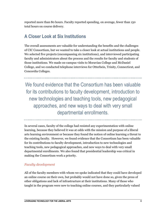reported more than 80 hours. Faculty reported spending, on average, fewer than 150 total hours on course delivery.

### **A Closer Look at Six Institutions**

The overall assessments are valuable for understanding the benefits and the challenges of CIC Consortium, but we wanted to take a closer look at actual institutions and people. We selected five projects (encompassing six institutions), and interviewed participating faculty and administrators about the process and the results for faculty and students of those institutions. We made on-campus visits to Moravian College and McDaniel College, and we conducted telephone interviews for Otterbein, Trinity, Connecticut, and Concordia Colleges.

We found evidence that the Consortium has been valuable for its contributions to faculty development, introduction to new technologies and teaching tools, new pedagogical approaches, and new ways to deal with very small departmental enrollments.

In several cases, faculty of the college had resisted any experimentation with online learning, because they believed it was at odds with the mission and purpose of a liberal arts learning environment or because they found the notion of online learning a threat to the existing faculty. However, we found evidence that the Consortium has been valuable for its contributions to faculty development, introduction to new technologies and teaching tools, new pedagogical approaches, and new ways to deal with very small departmental enrollments. We also found that presidential leadership was critical in making the Consortium work a priority.

#### *Faculty development*

All of the faculty members with whom we spoke indicated that they could have developed an online course on their own, but probably would not have done so, given the press of other obligations and lack of infrastructure at their institutions. Many of those who taught in the program were new to teaching online courses, and they particularly valued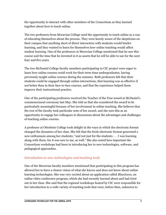the opportunity to interact with other members of the Consortium as they learned together about how to teach online.

The two professors from Moravian College used the opportunity to teach online as a way of educating themselves about the process. They were keenly aware of the skepticism on their campus that anything short of direct interaction with students would hinder learning, and they wanted to learn for themselves how online teaching would affect student learning. One of the professors at Moravian College mentioned that he saw this course and the time that he invested in it as assets that he will be able to use for the next four and five years.

The two McDaniel College faculty members participating in CIC project were eager to learn how online courses could work for their term-time undergraduates, having previously taught online courses during the summer. Both professors felt that their students could be engaged through online interactions, that learning was as effective if not better than in their face-to-face courses, and that the experience helped them improve their instructional practice.

One of the participating professors received the Teacher of the Year award at McDaniel's commencement ceremony last May. She told us that she considered the award to be particularly meaningful because of her involvement in online teaching. She believes that the rest of the faculty took particular note of her award, and she sees this as an opportunity to engage her colleagues in discussions about the advantages and challenges of teaching online courses.

A professor at Otterbein College took delight in the ways in which the electronic format changed the dynamics of her class. She felt that the fresh electronic format generated a new enthusiasm among her students; "and not just for the students . . . I was learning along with them, for it was new to me, as well." She also noted how important the Consortium workshops had been in introducing her to new technologies, software, and pedagogical approaches.

#### *Introduction to new technologies and teaching tools*

One of the Moravian faculty members mentioned that participating in this program has allowed her to have a clearer vision of what she knows and does not know about online learning technologies. She was very excited about an application called *BlueJeans*, an online video conference program, which she had recently learned about and had tried out in her class. She said that the regional workshops hosted by CIC were responsible for her introduction to a wide variety of teaching tools that were, before then, unknown to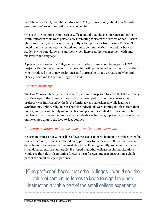her. The other faculty member at Moravian College spoke fondly about how "Google Communities" revolutionized the way he taught.

One of the professors at Connecticut College noted that video conference and other communication tools were particularly interesting to use in the context of her Russian literature course, which was offered jointly with a professor from Trinity College. She noted that the technology facilitated authentic communicative interactions between students who don't know one another, which increased their engagement with and mastery of the language.

A professor at Concordia College noted that the best thing about being part of CIC project is that in the workshops that brought participants together, he met many others who introduced him to new techniques and approaches that were extremely helpful. "They pushed me to try new things," he said.

#### *Closer relationships*

The two Moravian faculty members were pleasantly surprised to learn that the intimacy that develops in the classroom could also be developed in an online course. One professor was impressed by the level of intimacy she experienced while leading a synchronous, online, religion class because individuals were joining the class from their homes, and pets and family members became part of the context for the course. She mentioned that she learned more about students she had taught previously through the online course than in the face-to-face courses.

#### *Innovative solutions to low enrollments and small departments*

A German professor at Concordia College was eager to participate in the project when he first learned of it, because it offered an opportunity to increase enrollment in his small department. His college is concerned about enrollment generally, so he knows that very small departments are vulnerable. He hoped that other colleges in similar situations would see the value of combining forces to keep foreign language instruction a viable part of the small college experience.

[One professor] hoped that other colleges…would see the value of combining forces to keep foreign language instruction a viable part of the small college experience.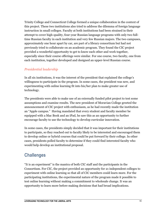Trinity College and Connecticut College formed a unique collaboration in the context of this project. These two institutions also tried to address the dilemma of foreign language instruction in small colleges. Faculty at both institutions had been strained in their attempt to cover high-quality, four-year Russian language programs with only two fulltime Russian faculty in each institution and very few Russian majors. The two campuses, approximately one hour apart by car, are part of a library consortium but had not previously tried to collaborate on an academic program. They found the CIC project provided a wonderful opportunity to get to know each other and work together, especially since their course offerings were similar. For one course, two faculty, one from each institution, together developed and designed an upper-level Russian course.

### *Presidential leadership*

In all six institutions, it was the interest of the president that explained the college's willingness to participate in the program. In some cases, the president was new, and experimenting with online learning fit into his/her plan to make greater use of technology.

The presidents were able to make use of an externally funded pilot project to test some assumptions and examine results. The new president of Moravian College greeted the announcement of CIC project with enthusiasm, as he had recently made the institution an "Apple campus." Having mandated that every student and faculty member be equipped with a Mac Book and an iPad, he saw this as an opportunity to further encourage faculty to use the technology to develop curricular innovation.

In some cases, the presidents simply decided that it was important for their institutions to participate, so they reached out to faculty likely to be interested and encouraged them to develop online or hybrid courses that could be put forward by their college. In other cases, presidents polled faculty to determine if they could find interested faculty who would help develop an institutional proposal.

### **Challenges**

"It is an experiment" is the mantra of both CIC staff and the participants in the Consortium. For CIC, the project provided an opportunity for 21 independent colleges to experiment with online learning so that all of CIC members could learn more. For the participating institutions, the experimental nature of the program made it possible to test online learning without making a commitment to wholesale change. It was an opportunity to learn more before making decisions that had broad implications.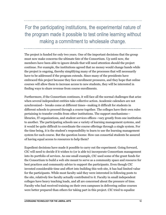## For the participating institutions, the experimental nature of the program made it possible to test online learning without making a commitment to wholesale change.

The project is funded for only two years. One of the important decisions that the group must now make concerns the ultimate fate of the Consortium. Up until now, the members have been able to ignore details that will need attention should the project continue. For example, the institutions agreed that no money would change hands while the project is ongoing, thereby simplifying many of the processes that will necessarily have to be addressed if the program extends. Since many of the presidents have embraced this project because they face enrollment pressures, and they hope that online courses will allow them to increase access to new students, they will be interested in finding ways to share revenue from course enrollments.

Furthermore, if the Consortium continues, it will face all the normal challenges that arise when several independent entities take collective action. Academic calendars are not synchronized— breaks come at different times—making it difficult for students in different schools to proceed through a course together. The colleges have their own rules pertaining to transfer credits from other institutions. The support mechanisms libraries, IT organizations, and student services offices—vary greatly from one institution to another. The participating schools use a variety of learning management systems, and it would be quite difficult to coordinate the course offerings through a single system. For the time being, it is the student's responsibility to learn to use the learning management system for each course. But the question looms: How can consortial students be assured of having equal access to resources to help them?

Expedient decisions have made it possible to carry out the experiment. Going forward, CIC will need to decide if it wishes to (or is able to) incorporate Consortium management into its portfolio of services. As one small example, CIC used some of the grant funds for the Consortium to build a web site meant to serve as a community space and resource for best practices and community advice to support the participants. Even though CIC invested considerable time and effort into building this web site, it has had limited value for the participants. While most faculty said they were interested in following posts to the site, relatively few faculty actually contributed to it. Faculty in small independent colleges have heavy teaching loads, and all are concerned about the pressure of time. Faculty who had received training on their own campuses in delivering online courses were better prepared than others for taking part in this project. CIC tried to equalize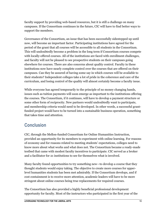faculty support by providing web-based resources, but it is still a challenge on many campuses. If the Consortium continues in the future, CIC will have to find better ways to support the members.

Governance of the Consortium, an issue that has been successfully sidestepped up until now, will become an important factor. Participating institutions have agreed for the period of the grant that all courses will be accessible to all students in the Consortium. This will undoubtedly become a problem in the long term if Consortium courses compete with locally-offered courses. All of the institutions are faced with enrollment challenges, and faculty will not be pleased to see prospective students on their campuses going elsewhere for courses. There are also concerns about quality control. Faculty in these institutions now have nearly complete control over the courses that are offered on their campuses. Can they be assured of having some say in which courses will be available to their students? Independent colleges take a lot of pride in the coherence and care of the curriculum, and losing control of the quality will almost certainly become a faculty issue.

While everyone has agreed temporarily to the principle of no money changing hands, issues such as tuition payments will soon emerge as important to the institutions offering the courses. The Consortium, if it continues, will have to develop a payment structure or some other form of reciprocity. New partners would undoubtedly want to participate, and membership criteria would need to be developed. In other words, a successful grantfunded project would have to be turned into a sustainable business operation, something that takes time and attention.

### **Conclusion**

CIC, through the Mellon-funded Consortium for Online Humanities Instruction, provided an opportunity for its members to experiment with online learning. For reasons of economy and for reasons related to meeting students' expectations, colleges need to know more about what works and what does not. The Consortium became a ready-made testbed that came with modest faculty incentives to participate. CIC served as a broker and a facilitator for 21 institutions to see for themselves what is involved.

Many faculty found opportunities to try something new—to develop a course that they thought students would enjoy taking. The objective to create more courses for upperlevel humanities students has been met admirably. If the Consortium develops, and if cost containment is to receive more attention, academic leaders will have to be more stringent about online courses being true replacements for required courses.

The Consortium has also provided a highly beneficial professional development opportunity for faculty. Most of the instructors who participated in the first year of the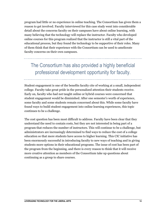program had little or no experience in online teaching. The Consortium has given them a reason to get involved. Faculty interviewed for this case study went into considerable detail about the concerns faculty on their campuses have about online learning, with many believing that the technology will replace the instructor. Faculty who developed online courses for this program realized that the instructor is still a vital part of the educational process, but they found the technology to be supportive of their roles. Many of them think that their experience with the Consortium can be used to ameliorate faculty concerns on their own campuses.

### The Consortium has also provided a highly beneficial professional development opportunity for faculty.

Student engagement is one of the benefits faculty cite of working at a small, independent college. Faculty take great pride in the personalized attention their students receive. Early on, faculty who had not taught online or hybrid courses were concerned that student engagement would be diminished. After one semester's worth of experience, some faculty and some students remain concerned about this. While some faculty have found ways to build student engagement into online learning experiences, this topic continues to be a challenge.

The cost question has been most difficult to address. Faculty have been clear that they understand the need to contain costs, but they are not interested in being part of a program that reduces the number of instructors. This will continue to be a challenge, but administrators are increasingly determined to find ways to reduce the cost of a college education so that more students have access to higher learning. This CIC initiative has been enormously successful in introducing faculty to new ways of teaching and in giving students more options in their educational programs. The issue of cost has been part of the program from the beginning, and there is every reason to think that it will receive more creative attention as members of the Consortium take up questions about continuing as a group to share courses.